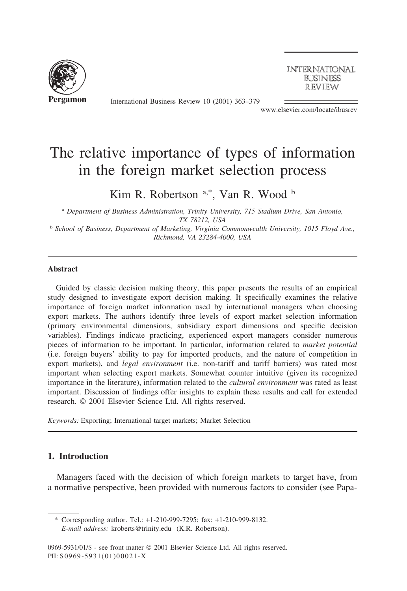

International Business Review 10 (2001) 363–379

**INTERNATIONAL BUSINESS REVIEW** 

www.elsevier.com/locate/ibusrev

## The relative importance of types of information in the foreign market selection process

Kim R. Robertson a,\*, Van R. Wood b

<sup>a</sup> *Department of Business Administration, Trinity University, 715 Stadium Drive, San Antonio, TX 78212, USA*

<sup>b</sup> *School of Business, Department of Marketing, Virginia Commonwealth University, 1015 Floyd Ave., Richmond, VA 23284-4000, USA*

### **Abstract**

Guided by classic decision making theory, this paper presents the results of an empirical study designed to investigate export decision making. It specifically examines the relative importance of foreign market information used by international managers when choosing export markets. The authors identify three levels of export market selection information (primary environmental dimensions, subsidiary export dimensions and specific decision variables). Findings indicate practicing, experienced export managers consider numerous pieces of information to be important. In particular, information related to *market potential* (i.e. foreign buyers' ability to pay for imported products, and the nature of competition in export markets), and *legal environment* (i.e. non-tariff and tariff barriers) was rated most important when selecting export markets. Somewhat counter intuitive (given its recognized importance in the literature), information related to the *cultural environment* was rated as least important. Discussion of findings offer insights to explain these results and call for extended research.  $© 2001$  Elsevier Science Ltd. All rights reserved.

*Keywords:* Exporting; International target markets; Market Selection

## **1. Introduction**

Managers faced with the decision of which foreign markets to target have, from a normative perspective, been provided with numerous factors to consider (see Papa-

<sup>\*</sup> Corresponding author. Tel.: +1-210-999-7295; fax: +1-210-999-8132.

*E-mail address:* kroberts@trinity.edu (K.R. Robertson).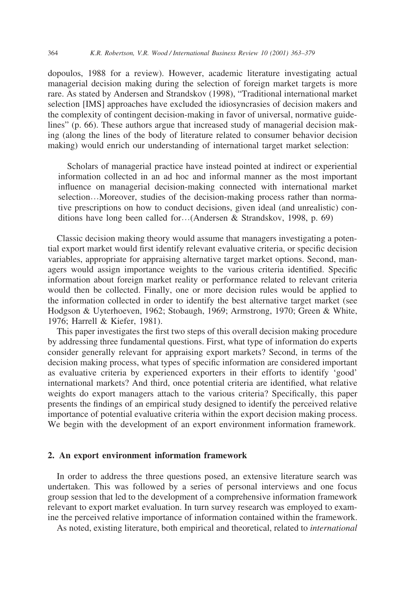dopoulos, 1988 for a review). However, academic literature investigating actual managerial decision making during the selection of foreign market targets is more rare. As stated by Andersen and Strandskov (1998), "Traditional international market selection [IMS] approaches have excluded the idiosyncrasies of decision makers and the complexity of contingent decision-making in favor of universal, normative guidelines" (p. 66). These authors argue that increased study of managerial decision making (along the lines of the body of literature related to consumer behavior decision making) would enrich our understanding of international target market selection:

Scholars of managerial practice have instead pointed at indirect or experiential information collected in an ad hoc and informal manner as the most important influence on managerial decision-making connected with international market selection...Moreover, studies of the decision-making process rather than normative prescriptions on how to conduct decisions, given ideal (and unrealistic) conditions have long been called for...(Andersen & Strandskov, 1998, p. 69)

Classic decision making theory would assume that managers investigating a potential export market would first identify relevant evaluative criteria, or specific decision variables, appropriate for appraising alternative target market options. Second, managers would assign importance weights to the various criteria identified. Specific information about foreign market reality or performance related to relevant criteria would then be collected. Finally, one or more decision rules would be applied to the information collected in order to identify the best alternative target market (see Hodgson & Uyterhoeven, 1962; Stobaugh, 1969; Armstrong, 1970; Green & White, 1976; Harrell & Kiefer, 1981).

This paper investigates the first two steps of this overall decision making procedure by addressing three fundamental questions. First, what type of information do experts consider generally relevant for appraising export markets? Second, in terms of the decision making process, what types of specific information are considered important as evaluative criteria by experienced exporters in their efforts to identify 'good' international markets? And third, once potential criteria are identified, what relative weights do export managers attach to the various criteria? Specifically, this paper presents the findings of an empirical study designed to identify the perceived relative importance of potential evaluative criteria within the export decision making process. We begin with the development of an export environment information framework.

#### **2. An export environment information framework**

In order to address the three questions posed, an extensive literature search was undertaken. This was followed by a series of personal interviews and one focus group session that led to the development of a comprehensive information framework relevant to export market evaluation. In turn survey research was employed to examine the perceived relative importance of information contained within the framework.

As noted, existing literature, both empirical and theoretical, related to *international*